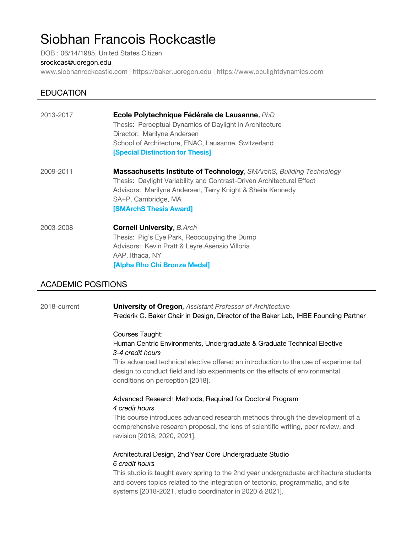# Siobhan Francois Rockcastle

DOB : 06/14/1985, United States Citizen

#### srockcas@uoregon.edu

www.siobhanrockcastle.com | https://baker.uoregon.edu | https://www.oculightdynamics.com

# **EDUCATION**

| 2013-2017 | Ecole Polytechnique Fédérale de Lausanne, PhD                         |
|-----------|-----------------------------------------------------------------------|
|           | Thesis: Perceptual Dynamics of Daylight in Architecture               |
|           | Director: Marilyne Andersen                                           |
|           | School of Architecture, ENAC, Lausanne, Switzerland                   |
|           | <b>[Special Distinction for Thesis]</b>                               |
| 2009-2011 | Massachusetts Institute of Technology, SMArchS, Building Technology   |
|           | Thesis: Daylight Variability and Contrast-Driven Architectural Effect |
|           | Advisors: Marilyne Andersen, Terry Knight & Sheila Kennedy            |
|           | SA+P, Cambridge, MA                                                   |
|           | <b>[SMArchS Thesis Award]</b>                                         |
| 2003-2008 | <b>Cornell University, B.Arch</b>                                     |
|           | Thesis: Pig's Eye Park, Reoccupying the Dump                          |
|           | Advisors: Kevin Pratt & Leyre Asensio Villoria                        |
|           | AAP, Ithaca, NY                                                       |
|           | [Alpha Rho Chi Bronze Medal]                                          |

## ACADEMIC POSITIONS

2018-current **University of Oregon,** *Assistant Professor of Architecture* Frederik C. Baker Chair in Design, Director of the Baker Lab, IHBE Founding Partner

#### Courses Taught: Human Centric Environments, Undergraduate & Graduate Technical Elective *3-4 credit hours*

This advanced technical elective offered an introduction to the use of experimental design to conduct field and lab experiments on the effects of environmental conditions on perception [2018].

#### Advanced Research Methods, Required for Doctoral Program *4 credit hours*

This course introduces advanced research methods through the development of a comprehensive research proposal, the lens of scientific writing, peer review, and revision [2018, 2020, 2021].

#### Architectural Design, 2ndYear Core Undergraduate Studio *6 credit hours*

This studio is taught every spring to the 2nd year undergraduate architecture students and covers topics related to the integration of tectonic, programmatic, and site systems [2018-2021, studio coordinator in 2020 & 2021].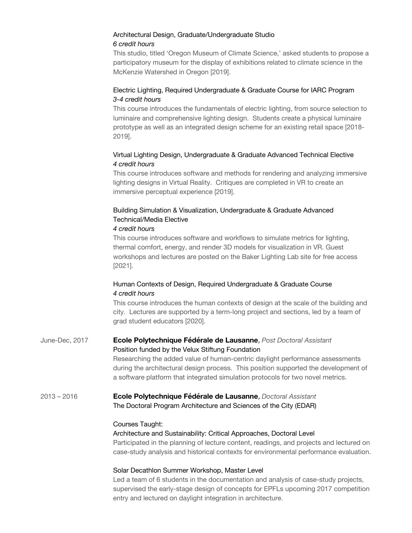#### Architectural Design, Graduate/Undergraduate Studio *6 credit hours*

This studio, titled 'Oregon Museum of Climate Science,' asked students to propose a participatory museum for the display of exhibitions related to climate science in the McKenzie Watershed in Oregon [2019].

#### Electric Lighting, Required Undergraduate & Graduate Course for IARC Program *3-4 credit hours*

This course introduces the fundamentals of electric lighting, from source selection to luminaire and comprehensive lighting design. Students create a physical luminaire prototype as well as an integrated design scheme for an existing retail space [2018- 2019].

#### Virtual Lighting Design, Undergraduate & Graduate Advanced Technical Elective *4 credit hours*

This course introduces software and methods for rendering and analyzing immersive lighting designs in Virtual Reality. Critiques are completed in VR to create an immersive perceptual experience [2019].

# Building Simulation & Visualization, Undergraduate & Graduate Advanced Technical/Media Elective

#### *4 credit hours*

This course introduces software and workflows to simulate metrics for lighting, thermal comfort, energy, and render 3D models for visualization in VR. Guest workshops and lectures are posted on the Baker Lighting Lab site for free access [2021].

#### Human Contexts of Design, Required Undergraduate & Graduate Course *4 credit hours*

This course introduces the human contexts of design at the scale of the building and city. Lectures are supported by a term-long project and sections, led by a team of grad student educators [2020].

## June-Dec, 2017 **Ecole Polytechnique Fédérale de Lausanne,** *Post Doctoral Assistant* Position funded by the Velux Stiftung Foundation

Researching the added value of human-centric daylight performance assessments during the architectural design process. This position supported the development of a software platform that integrated simulation protocols for two novel metrics.

## 2013 – 2016 **Ecole Polytechnique Fédérale de Lausanne,** *Doctoral Assistant* The Doctoral Program Architecture and Sciences of the City (EDAR)

#### Courses Taught:

#### Architecture and Sustainability: Critical Approaches, Doctoral Level Participated in the planning of lecture content, readings, and projects and lectured on case-study analysis and historical contexts for environmental performance evaluation.

## Solar Decathlon Summer Workshop, Master Level

Led a team of 6 students in the documentation and analysis of case-study projects, supervised the early-stage design of concepts for EPFLs upcoming 2017 competition entry and lectured on daylight integration in architecture.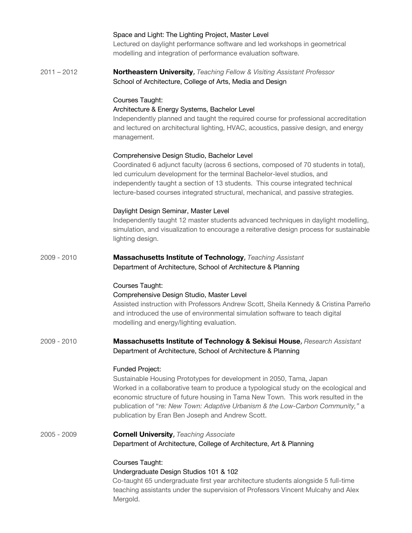|               | Space and Light: The Lighting Project, Master Level<br>Lectured on daylight performance software and led workshops in geometrical<br>modelling and integration of performance evaluation software.                                                                                                                                                                                                      |
|---------------|---------------------------------------------------------------------------------------------------------------------------------------------------------------------------------------------------------------------------------------------------------------------------------------------------------------------------------------------------------------------------------------------------------|
| $2011 - 2012$ | <b>Northeastern University, Teaching Fellow &amp; Visiting Assistant Professor</b><br>School of Architecture, College of Arts, Media and Design                                                                                                                                                                                                                                                         |
|               | Courses Taught:<br>Architecture & Energy Systems, Bachelor Level<br>Independently planned and taught the required course for professional accreditation<br>and lectured on architectural lighting, HVAC, acoustics, passive design, and energy<br>management.                                                                                                                                           |
|               | Comprehensive Design Studio, Bachelor Level<br>Coordinated 6 adjunct faculty (across 6 sections, composed of 70 students in total),<br>led curriculum development for the terminal Bachelor-level studios, and<br>independently taught a section of 13 students. This course integrated technical<br>lecture-based courses integrated structural, mechanical, and passive strategies.                   |
|               | Daylight Design Seminar, Master Level<br>Independently taught 12 master students advanced techniques in daylight modelling,<br>simulation, and visualization to encourage a reiterative design process for sustainable<br>lighting design.                                                                                                                                                              |
| 2009 - 2010   | <b>Massachusetts Institute of Technology</b> , Teaching Assistant<br>Department of Architecture, School of Architecture & Planning                                                                                                                                                                                                                                                                      |
|               | Courses Taught:<br>Comprehensive Design Studio, Master Level<br>Assisted instruction with Professors Andrew Scott, Sheila Kennedy & Cristina Parreño<br>and introduced the use of environmental simulation software to teach digital<br>modelling and energy/lighting evaluation.                                                                                                                       |
| 2009 - 2010   | <b>Massachusetts Institute of Technology &amp; Sekisui House, Research Assistant</b><br>Department of Architecture, School of Architecture & Planning                                                                                                                                                                                                                                                   |
|               | Funded Project:<br>Sustainable Housing Prototypes for development in 2050, Tama, Japan<br>Worked in a collaborative team to produce a typological study on the ecological and<br>economic structure of future housing in Tama New Town. This work resulted in the<br>publication of "re: New Town: Adaptive Urbanism & the Low-Carbon Community," a<br>publication by Eran Ben Joseph and Andrew Scott. |
| 2005 - 2009   | <b>Cornell University, Teaching Associate</b><br>Department of Architecture, College of Architecture, Art & Planning                                                                                                                                                                                                                                                                                    |
|               | Courses Taught:<br>Undergraduate Design Studios 101 & 102<br>Co-taught 65 undergraduate first year architecture students alongside 5 full-time<br>teaching assistants under the supervision of Professors Vincent Mulcahy and Alex<br>Mergold.                                                                                                                                                          |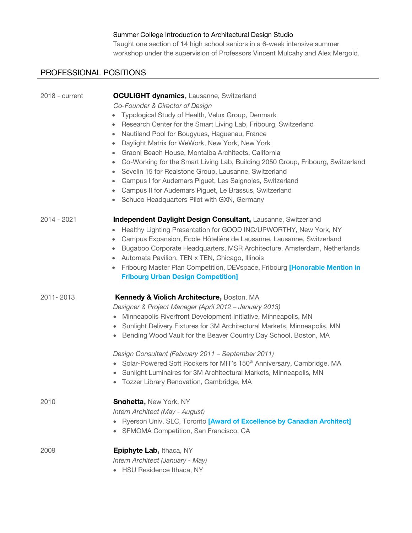# Summer College Introduction to Architectural Design Studio

Taught one section of 14 high school seniors in a 6-week intensive summer workshop under the supervision of Professors Vincent Mulcahy and Alex Mergold.

# PROFESSIONAL POSITIONS

| 2018 - current | <b>OCULIGHT dynamics, Lausanne, Switzerland</b>                                              |
|----------------|----------------------------------------------------------------------------------------------|
|                | Co-Founder & Director of Design                                                              |
|                | Typological Study of Health, Velux Group, Denmark                                            |
|                | Research Center for the Smart Living Lab, Fribourg, Switzerland                              |
|                | Nautiland Pool for Bougyues, Haguenau, France<br>$\bullet$                                   |
|                | Daylight Matrix for WeWork, New York, New York<br>$\bullet$                                  |
|                | Graoni Beach House, Montalba Architects, California<br>$\bullet$                             |
|                | Co-Working for the Smart Living Lab, Building 2050 Group, Fribourg, Switzerland<br>$\bullet$ |
|                | Sevelin 15 for Realstone Group, Lausanne, Switzerland<br>۰                                   |
|                | Campus I for Audemars Piguet, Les Saignoles, Switzerland                                     |
|                | Campus II for Audemars Piguet, Le Brassus, Switzerland<br>$\bullet$                          |
|                | Schuco Headquarters Pilot with GXN, Germany<br>۰                                             |
| 2014 - 2021    | Independent Daylight Design Consultant, Lausanne, Switzerland                                |
|                | Healthy Lighting Presentation for GOOD INC/UPWORTHY, New York, NY<br>$\bullet$               |
|                | Campus Expansion, Ecole Hôtelière de Lausanne, Lausanne, Switzerland<br>$\bullet$            |
|                | Bugaboo Corporate Headquarters, MSR Architecture, Amsterdam, Netherlands<br>۰                |
|                | Automata Pavilion, TEN x TEN, Chicago, Illinois<br>۰                                         |
|                | Fribourg Master Plan Competition, DEVspace, Fribourg [Honorable Mention in<br>$\bullet$      |
|                | <b>Fribourg Urban Design Competition]</b>                                                    |
| 2011-2013      | Kennedy & Violich Architecture, Boston, MA                                                   |
|                | Designer & Project Manager (April 2012 - January 2013)                                       |
|                | Minneapolis Riverfront Development Initiative, Minneapolis, MN                               |
|                | Sunlight Delivery Fixtures for 3M Architectural Markets, Minneapolis, MN                     |
|                | Bending Wood Vault for the Beaver Country Day School, Boston, MA<br>$\bullet$                |
|                | Design Consultant (February 2011 - September 2011)                                           |
|                | • Solar-Powered Soft Rockers for MIT's 150 <sup>th</sup> Anniversary, Cambridge, MA          |
|                | • Sunlight Luminaires for 3M Architectural Markets, Minneapolis, MN                          |
|                | Tozzer Library Renovation, Cambridge, MA<br>$\bullet$                                        |
| 2010           | <b>Snøhetta, New York, NY</b>                                                                |
|                | Intern Architect (May - August)                                                              |
|                | Ryerson Univ. SLC, Toronto [Award of Excellence by Canadian Architect]                       |
|                | SFMOMA Competition, San Francisco, CA                                                        |
| 2009           | Epiphyte Lab, Ithaca, NY                                                                     |
|                | Intern Architect (January - May)                                                             |
|                | • HSU Residence Ithaca, NY                                                                   |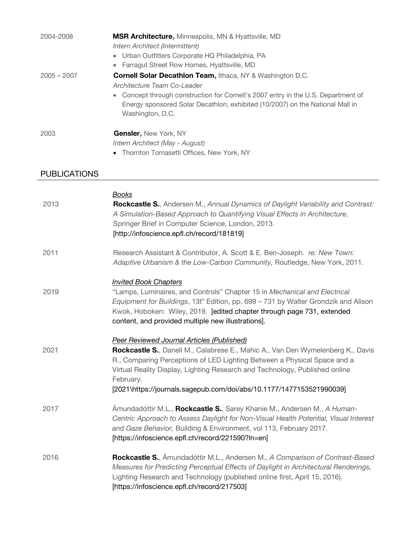| 2004-2008           | <b>MSR Architecture, Minneapolis, MN &amp; Hyattsville, MD</b>                                                                                                                       |
|---------------------|--------------------------------------------------------------------------------------------------------------------------------------------------------------------------------------|
|                     | Intern Architect (Intermittent)                                                                                                                                                      |
|                     | • Urban Outfitters Corporate HQ Philadelphia, PA                                                                                                                                     |
|                     | • Farragut Street Row Homes, Hyattsville, MD                                                                                                                                         |
| $2005 - 2007$       | <b>Cornell Solar Decathion Team, Ithaca, NY &amp; Washington D.C.</b>                                                                                                                |
|                     | Architecture Team Co-Leader                                                                                                                                                          |
|                     | Concept through construction for Cornell's 2007 entry in the U.S. Department of<br>Energy sponsored Solar Decathlon, exhibited (10/2007) on the National Mall in<br>Washington, D.C. |
| 2003                | <b>Gensler, New York, NY</b>                                                                                                                                                         |
|                     | Intern Architect (May - August)                                                                                                                                                      |
|                     | Thornton Tomasetti Offices, New York, NY                                                                                                                                             |
| <b>PUBLICATIONS</b> |                                                                                                                                                                                      |

|      | <b>Books</b>                                                                                                                                                                                                                                                                                      |
|------|---------------------------------------------------------------------------------------------------------------------------------------------------------------------------------------------------------------------------------------------------------------------------------------------------|
| 2013 | <b>Rockcastle S.</b> , Andersen M., Annual Dynamics of Daylight Variability and Contrast:<br>A Simulation-Based Approach to Quantifying Visual Effects in Architecture,<br>Springer Brief in Computer Science, London, 2013.<br>[http://infoscience.epfl.ch/record/181819]                        |
| 2011 | Research Assistant & Contributor, A. Scott & E. Ben-Joseph. re: New Town:<br>Adaptive Urbanism & the Low-Carbon Community, Routledge, New York, 2011.                                                                                                                                             |
|      | <b>Invited Book Chapters</b>                                                                                                                                                                                                                                                                      |
| 2019 | "Lamps, Luminaires, and Controls" Chapter 15 in Mechanical and Electrical<br>Equipment for Buildings, 13th Edition, pp. 699 – 731 by Walter Grondzik and Alison<br>Kwok, Hoboken: Wiley, 2019. [edited chapter through page 731, extended<br>content, and provided multiple new illustrations].   |
|      | <b>Peer Reviewed Journal Articles (Published)</b>                                                                                                                                                                                                                                                 |
| 2021 | Rockcastle S., Danell M., Calabrese E., Mahic A., Van Den Wymelenberg K., Davis<br>R., Comparing Perceptions of LED Lighting Between a Physical Space and a<br>Virtual Reality Display, Lighting Research and Technology, Published online<br>February.                                           |
|      | [2021\https://journals.sagepub.com/doi/abs/10.1177/1477153521990039]                                                                                                                                                                                                                              |
| 2017 | Ámundadóttir M.L., Rockcastle S., Sarey Khanie M., Andersen M., A Human-<br>Centric Approach to Assess Daylight for Non-Visual Health Potential, Visual Interest<br>and Gaze Behavior, Building & Environment, vol 113, February 2017.<br>[https://infoscience.epfl.ch/record/221590?ln=en]       |
| 2016 | Rockcastle S., Amundadóttir M.L., Andersen M., A Comparison of Contrast-Based<br>Measures for Predicting Perceptual Effects of Daylight in Architectural Renderings,<br>Lighting Research and Technology (published online first, April 15, 2016).<br>[https://infoscience.epfl.ch/record/217503] |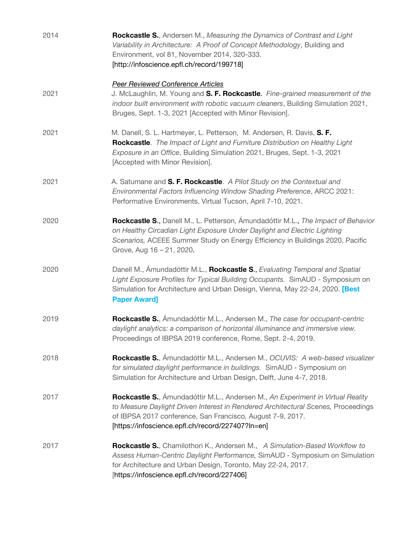| 2014 | Rockcastle S., Andersen M., Measuring the Dynamics of Contrast and Light<br>Variability in Architecture: A Proof of Concept Methodology, Building and<br>Environment, vol 81, November 2014, 320-333.<br>[http://infoscience.epfl.ch/record/199718]                                     |
|------|-----------------------------------------------------------------------------------------------------------------------------------------------------------------------------------------------------------------------------------------------------------------------------------------|
| 2021 | <b>Peer Reviewed Conference Articles</b><br>J. McLaughlin, M. Young and S. F. Rockcastle. Fine-grained measurement of the<br>indoor built environment with robotic vacuum cleaners, Building Simulation 2021,<br>Bruges, Sept. 1-3, 2021 [Accepted with Minor Revision].                |
| 2021 | M. Danell, S. L. Hartmeyer, L. Petterson, M. Andersen, R. Davis, S. F.<br>Rockcastle. The Impact of Light and Furniture Distribution on Healthy Light<br>Exposure in an Office, Building Simulation 2021, Bruges, Sept. 1-3, 2021<br>[Accepted with Minor Revision].                    |
| 2021 | A. Satumane and S. F. Rockcastle. A Pilot Study on the Contextual and<br>Environmental Factors Influencing Window Shading Preference, ARCC 2021:<br>Performative Environments, Virtual Tucson, April 7-10, 2021.                                                                        |
| 2020 | Rockcastle S., Danell M., L. Petterson, Ámundadóttir M.L., The Impact of Behavior<br>on Healthy Circadian Light Exposure Under Daylight and Electric Lighting<br>Scenarios, ACEEE Summer Study on Energy Efficiency in Buildings 2020, Pacific<br>Grove, Aug 16 - 21, 2020.             |
| 2020 | Danell M., Amundadóttir M.L., Rockcastle S., Evaluating Temporal and Spatial<br>Light Exposure Profiles for Typical Building Occupants. SimAUD - Symposium on<br>Simulation for Architecture and Urban Design, Vienna, May 22-24, 2020. [Best<br><b>Paper Award]</b>                    |
| 2019 | <b>Rockcastle S.</b> , Amundadóttir M.L., Andersen M., The case for occupant-centric<br>daylight analytics: a comparison of horizontal illuminance and immersive view.<br>Proceedings of IBPSA 2019 conference, Rome, Sept. 2-4, 2019.                                                  |
| 2018 | Rockcastle S., Amundadóttir M.L., Andersen M., OCUVIS: A web-based visualizer<br>for simulated daylight performance in buildings. SimAUD - Symposium on<br>Simulation for Architecture and Urban Design, Delft, June 4-7, 2018.                                                         |
| 2017 | Rockcastle S., Amundadóttir M.L., Andersen M., An Experiment in Virtual Reality<br>to Measure Daylight Driven Interest in Rendered Architectural Scenes, Proceedings<br>of IBPSA 2017 conference, San Francisco, August 7-9, 2017.<br>[https://infoscience.epfl.ch/record/227407?ln=en] |
| 2017 | <b>Rockcastle S.</b> , Chamilothori K., Andersen M., A Simulation-Based Workflow to<br>Assess Human-Centric Daylight Performance, SimAUD - Symposium on Simulation<br>for Architecture and Urban Design, Toronto, May 22-24, 2017.<br>[https://infoscience.epfl.ch/record/227406]       |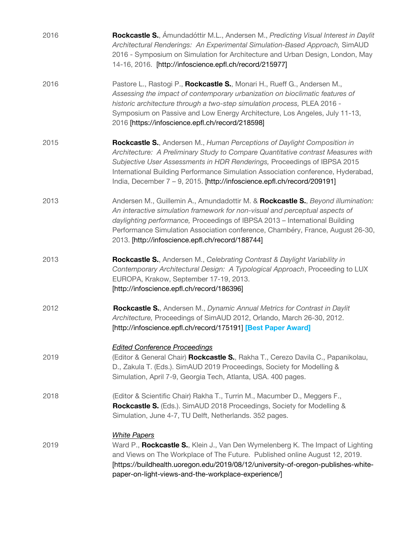| 2016 | Rockcastle S., Amundadóttir M.L., Andersen M., Predicting Visual Interest in Daylit<br>Architectural Renderings: An Experimental Simulation-Based Approach, SimAUD<br>2016 - Symposium on Simulation for Architecture and Urban Design, London, May<br>14-16, 2016. [http://infoscience.epfl.ch/record/215977]                                                                                                  |
|------|-----------------------------------------------------------------------------------------------------------------------------------------------------------------------------------------------------------------------------------------------------------------------------------------------------------------------------------------------------------------------------------------------------------------|
| 2016 | Pastore L., Rastogi P., Rockcastle S., Monari H., Rueff G., Andersen M.,<br>Assessing the impact of contemporary urbanization on bioclimatic features of<br>historic architecture through a two-step simulation process, PLEA 2016 -<br>Symposium on Passive and Low Energy Architecture, Los Angeles, July 11-13,<br>2016 [https://infoscience.epfl.ch/record/218598]                                          |
| 2015 | <b>Rockcastle S.</b> , Andersen M., Human Perceptions of Daylight Composition in<br>Architecture: A Preliminary Study to Compare Quantitative contrast Measures with<br>Subjective User Assessments in HDR Renderings, Proceedings of IBPSA 2015<br>International Building Performance Simulation Association conference, Hyderabad,<br>India, December 7 - 9, 2015. [http://infoscience.epfl.ch/record/209191] |
| 2013 | Andersen M., Guillemin A., Amundadottir M. & Rockcastle S., Beyond illumination:<br>An interactive simulation framework for non-visual and perceptual aspects of<br>daylighting performance, Proceedings of IBPSA 2013 - International Building<br>Performance Simulation Association conference, Chambéry, France, August 26-30,<br>2013. [http://infoscience.epfl.ch/record/188744]                           |
| 2013 | <b>Rockcastle S.</b> , Andersen M., Celebrating Contrast & Daylight Variability in<br>Contemporary Architectural Design: A Typological Approach, Proceeding to LUX<br>EUROPA, Krakow, September 17-19, 2013.<br>[http://infoscience.epfl.ch/record/186396]                                                                                                                                                      |
| 2012 | Rockcastle S., Andersen M., Dynamic Annual Metrics for Contrast in Daylit<br>Architecture, Proceedings of SimAUD 2012, Orlando, March 26-30, 2012.<br>[http://infoscience.epfl.ch/record/175191] [Best Paper Award]                                                                                                                                                                                             |
| 2019 | <b>Edited Conference Proceedings</b><br>(Editor & General Chair) Rockcastle S., Rakha T., Cerezo Davila C., Papanikolau,<br>D., Zakula T. (Eds.). SimAUD 2019 Proceedings, Society for Modelling &<br>Simulation, April 7-9, Georgia Tech, Atlanta, USA. 400 pages.                                                                                                                                             |
| 2018 | (Editor & Scientific Chair) Rakha T., Turrin M., Macumber D., Meggers F.,<br>Rockcastle S. (Eds.). SimAUD 2018 Proceedings, Society for Modelling &<br>Simulation, June 4-7, TU Delft, Netherlands. 352 pages.                                                                                                                                                                                                  |
| 2019 | <b>White Papers</b><br>Ward P., <b>Rockcastle S.</b> , Klein J., Van Den Wymelenberg K. The Impact of Lighting<br>and Views on The Workplace of The Future. Published online August 12, 2019.<br>[https://buildhealth.uoregon.edu/2019/08/12/university-of-oregon-publishes-white-<br>paper-on-light-views-and-the-workplace-experience/]                                                                       |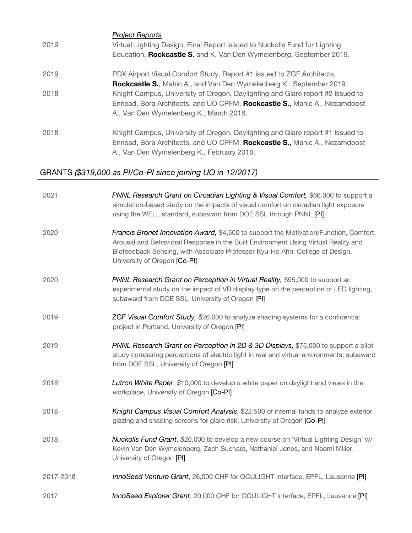| 2019 | <b>Project Reports</b><br>Virtual Lighting Design, Final Report issued to Nuckolls Fund for Lighting<br>Education, Rockcastle S. and K. Van Den Wymelenberg, September 2019.                              |
|------|-----------------------------------------------------------------------------------------------------------------------------------------------------------------------------------------------------------|
| 2019 | PDX Airport Visual Comfort Study, Report #1 issued to ZGF Architects,<br><b>Rockcastle S., Mahic A., and Van Den Wymelenberg K., September 2019.</b>                                                      |
| 2018 | Knight Campus, University of Oregon, Daylighting and Glare report #2 issued to<br>Ennead, Bora Architects, and UO CPFM, Rockcastle S., Mahic A., Nezamdoost<br>A., Van Den Wymelenberg K., March 2018.    |
| 2018 | Knight Campus, University of Oregon, Daylighting and Glare report #1 issued to<br>Ennead, Bora Architects, and UO CPFM, Rockcastle S., Mahic A., Nezamdoost<br>A., Van Den Wymelenberg K., February 2018. |

# GRANTS *(\$319,000 as PI/Co-PI since joining UO in 12/2017)*

| 2021      | PNNL Research Grant on Circadian Lighting & Visual Comfort, \$66,000 to support a<br>simulation-based study on the impacts of visual comfort on circadian light exposure<br>using the WELL standard, subaward from DOE SSL through PNNL [PI]                                                |
|-----------|---------------------------------------------------------------------------------------------------------------------------------------------------------------------------------------------------------------------------------------------------------------------------------------------|
| 2020      | Francis Bronet Innovation Award, \$4,500 to support the Motivation/Function, Comfort,<br>Arousal and Behavioral Response in the Built Environment Using Virtual Reality and<br>Biofeedback Sensing, with Associate Professor Kyu-Ho Ahn, College of Design,<br>University of Oregon [Co-PI] |
| 2020      | PNNL Research Grant on Perception in Virtual Reality, \$95,000 to support an<br>experimental study on the impact of VR display type on the perception of LED lighting,<br>subaward from DOE SSL, University of Oregon [PI]                                                                  |
| 2019      | ZGF Visual Comfort Study, \$26,000 to analyze shading systems for a confidential<br>project in Portland, University of Oregon [PI]                                                                                                                                                          |
| 2019      | <b>PNNL Research Grant on Perception in 2D &amp; 3D Displays, \$75,000 to support a pilot</b><br>study comparing perceptions of electric light in real and virtual environments, subaward<br>from DOE SSL, University of Oregon [PI]                                                        |
| 2018      | Lutron White Paper, \$10,000 to develop a white paper on daylight and views in the<br>workplace, University of Oregon [Co-PI]                                                                                                                                                               |
| 2018      | Knight Campus Visual Comfort Analysis, \$22,500 of internal funds to analyze exterior<br>glazing and shading screens for glare risk, University of Oregon [Co-PI]                                                                                                                           |
| 2018      | Nuckolls Fund Grant, \$20,000 to develop a new course on 'Virtual Lighting Design' w/<br>Kevin Van Den Wymelenberg, Zach Suchara, Nathaniel Jones, and Naomi Miller,<br>University of Oregon [PI]                                                                                           |
| 2017-2018 | InnoSeed Venture Grant, 26,000 CHF for OCULIGHT interface, EPFL, Lausanne [PI]                                                                                                                                                                                                              |
| 2017      | InnoSeed Explorer Grant, 20,000 CHF for OCULIGHT interface, EPFL, Lausanne [PI]                                                                                                                                                                                                             |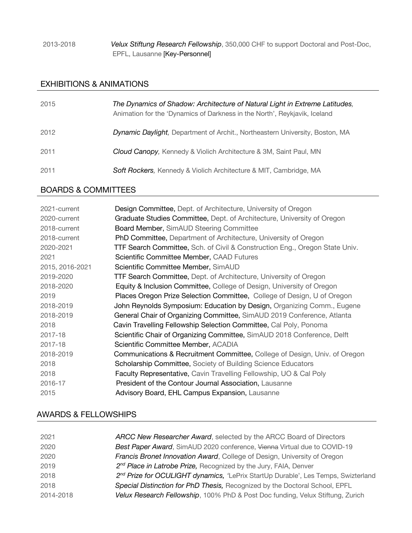#### 2013-2018 *Velux Stiftung Research Fellowship*, 350,000 CHF to support Doctoral and Post-Doc, EPFL, Lausanne [Key-Personnel]

#### EXHIBITIONS & ANIMATIONS

| 2015 | The Dynamics of Shadow: Architecture of Natural Light in Extreme Latitudes,<br>Animation for the 'Dynamics of Darkness in the North', Reykjavik, Iceland |
|------|----------------------------------------------------------------------------------------------------------------------------------------------------------|
| 2012 | Dynamic Daylight, Department of Archit., Northeastern University, Boston, MA                                                                             |
| 2011 | <b>Cloud Canopy, Kennedy &amp; Violich Architecture &amp; 3M, Saint Paul, MN</b>                                                                         |
| 2011 | <b>Soft Rockers, Kennedy &amp; Violich Architecture &amp; MIT, Cambridge, MA</b>                                                                         |

# BOARDS & COMMITTEES

| 2021-current    | Design Committee, Dept. of Architecture, University of Oregon                         |
|-----------------|---------------------------------------------------------------------------------------|
| 2020-current    | Graduate Studies Committee, Dept. of Architecture, University of Oregon               |
| 2018-current    | Board Member, SimAUD Steering Committee                                               |
| 2018-current    | <b>PhD Committee, Department of Architecture, University of Oregon</b>                |
| 2020-2021       | TTF Search Committee, Sch. of Civil & Construction Eng., Oregon State Univ.           |
| 2021            | Scientific Committee Member, CAAD Futures                                             |
| 2015, 2016-2021 | Scientific Committee Member, SimAUD                                                   |
| 2019-2020       | TTF Search Committee, Dept. of Architecture, University of Oregon                     |
| 2018-2020       | Equity & Inclusion Committee, College of Design, University of Oregon                 |
| 2019            | Places Oregon Prize Selection Committee, College of Design, U of Oregon               |
| 2018-2019       | John Reynolds Symposium: Education by Design, Organizing Comm., Eugene                |
| 2018-2019       | General Chair of Organizing Committee, SimAUD 2019 Conference, Atlanta                |
| 2018            | Cavin Travelling Fellowship Selection Committee, Cal Poly, Ponoma                     |
| 2017-18         | Scientific Chair of Organizing Committee, SimAUD 2018 Conference, Delft               |
| 2017-18         | Scientific Committee Member, ACADIA                                                   |
| 2018-2019       | <b>Communications &amp; Recruitment Committee, College of Design, Univ. of Oregon</b> |
| 2018            | Scholarship Committee, Society of Building Science Educators                          |
| 2018            | Faculty Representative, Cavin Travelling Fellowship, UO & Cal Poly                    |
| 2016-17         | President of the Contour Journal Association, Lausanne                                |
| 2015            | Advisory Board, EHL Campus Expansion, Lausanne                                        |

## AWARDS & FELLOWSHIPS

| 2021      | ARCC New Researcher Award, selected by the ARCC Board of Directors                            |
|-----------|-----------------------------------------------------------------------------------------------|
| 2020      | Best Paper Award, SimAUD 2020 conference, Vienna Virtual due to COVID-19                      |
| 2020      | Francis Bronet Innovation Award, College of Design, University of Oregon                      |
| 2019      | 2 <sup>nd</sup> Place in Latrobe Prize, Recognized by the Jury, FAIA, Denver                  |
| 2018      | 2 <sup>nd</sup> Prize for OCULIGHT dynamics, 'LePrix StartUp Durable', Les Temps, Swizterland |
| 2018      | Special Distinction for PhD Thesis, Recognized by the Doctoral School, EPFL                   |
| 2014-2018 | Velux Research Fellowship, 100% PhD & Post Doc funding, Velux Stiftung, Zurich                |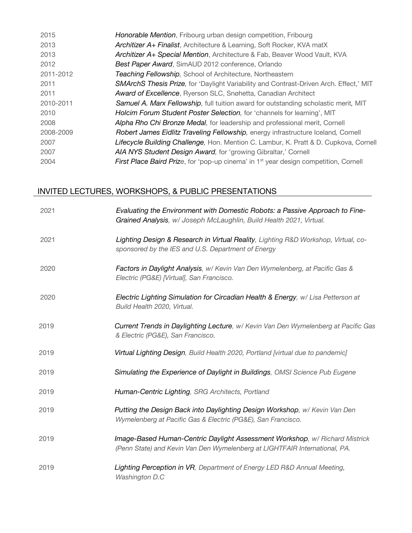| 2015      | Honorable Mention, Fribourg urban design competition, Fribourg                                   |
|-----------|--------------------------------------------------------------------------------------------------|
| 2013      | Architizer A+ Finalist, Architecture & Learning, Soft Rocker, KVA matX                           |
| 2013      | Architizer A+ Special Mention, Architecture & Fab, Beaver Wood Vault, KVA                        |
| 2012      | Best Paper Award, SimAUD 2012 conference, Orlando                                                |
| 2011-2012 | Teaching Fellowship, School of Architecture, Northeastern                                        |
| 2011      | <b>SMArchS Thesis Prize, for 'Daylight Variability and Contrast-Driven Arch. Effect,' MIT</b>    |
| 2011      | <b>Award of Excellence, Ryerson SLC, Snøhetta, Canadian Architect</b>                            |
| 2010-2011 | Samuel A. Marx Fellowship, full tuition award for outstanding scholastic merit, MIT              |
| 2010      | Holcim Forum Student Poster Selection, for 'channels for learning', MIT                          |
| 2008      | Alpha Rho Chi Bronze Medal, for leadership and professional merit, Cornell                       |
| 2008-2009 | Robert James Eidlitz Traveling Fellowship, energy infrastructure Iceland, Cornell                |
| 2007      | Lifecycle Building Challenge, Hon. Mention C. Lambur, K. Pratt & D. Cupkova, Cornell             |
| 2007      | AIA NYS Student Design Award, for 'growing Gibraltar,' Cornell                                   |
| 2004      | First Place Baird Prize, for 'pop-up cinema' in 1 <sup>st</sup> year design competition, Cornell |
|           |                                                                                                  |

# INVITED LECTURES, WORKSHOPS, & PUBLIC PRESENTATIONS

| 2021 | Evaluating the Environment with Domestic Robots: a Passive Approach to Fine-<br>Grained Analysis, w/ Joseph McLaughlin, Build Health 2021, Virtual.       |
|------|-----------------------------------------------------------------------------------------------------------------------------------------------------------|
| 2021 | Lighting Design & Research in Virtual Reality, Lighting R&D Workshop, Virtual, co-<br>sponsored by the IES and U.S. Department of Energy                  |
| 2020 | Factors in Daylight Analysis, w/ Kevin Van Den Wymelenberg, at Pacific Gas &<br>Electric (PG&E) [Virtual], San Francisco.                                 |
| 2020 | Electric Lighting Simulation for Circadian Health & Energy, w/ Lisa Petterson at<br>Build Health 2020, Virtual.                                           |
| 2019 | Current Trends in Daylighting Lecture, w/ Kevin Van Den Wymelenberg at Pacific Gas<br>& Electric (PG&E), San Francisco.                                   |
| 2019 | Virtual Lighting Design, Build Health 2020, Portland [virtual due to pandemic]                                                                            |
| 2019 | Simulating the Experience of Daylight in Buildings, OMSI Science Pub Eugene                                                                               |
| 2019 | Human-Centric Lighting, SRG Architects, Portland                                                                                                          |
| 2019 | Putting the Design Back into Daylighting Design Workshop, w/ Kevin Van Den<br>Wymelenberg at Pacific Gas & Electric (PG&E), San Francisco.                |
| 2019 | Image-Based Human-Centric Daylight Assessment Workshop, w/ Richard Mistrick<br>(Penn State) and Kevin Van Den Wymelenberg at LIGHTFAIR International, PA. |
| 2019 | Lighting Perception in VR, Department of Energy LED R&D Annual Meeting,<br>Washington D.C                                                                 |